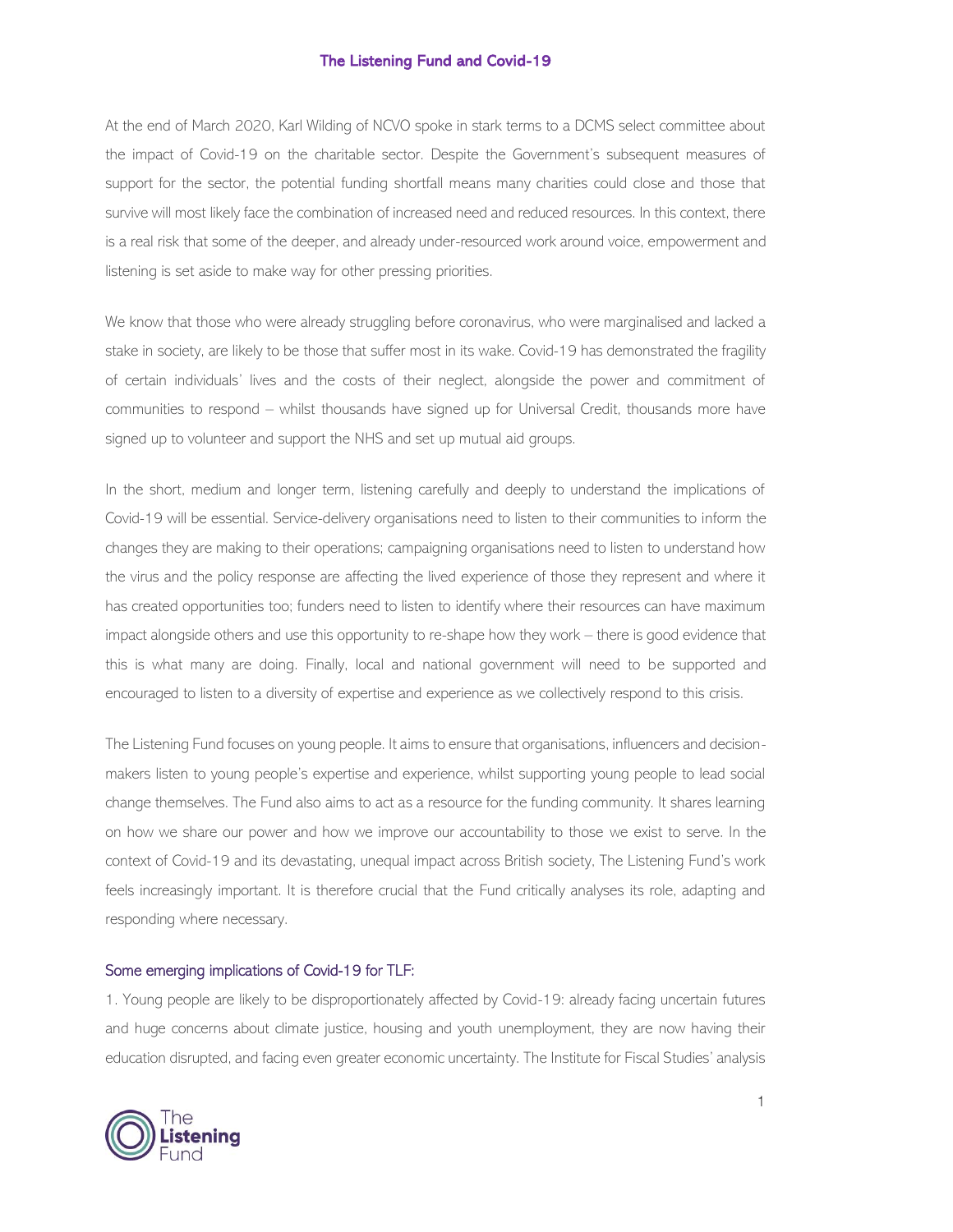At the end of March 2020, Karl Wilding of NCVO spoke in stark terms to a DCMS select committee about the impact of Covid-19 on the charitable sector. Despite the Government's subsequent measures of support for the sector, the potential funding shortfall means many charities could close and those that survive will most likely face the combination of increased need and reduced resources. In this context, there is a real risk that some of the deeper, and already under-resourced work around voice, empowerment and listening is set aside to make way for other pressing priorities.

We know that those who were already struggling before coronavirus, who were marginalised and lacked a stake in society, are likely to be those that suffer most in its wake. Covid-19 has demonstrated the fragility of certain individuals' lives and the costs of their neglect, alongside the power and commitment of communities to respond – whilst thousands have signed up for Universal Credit, thousands more have signed up to volunteer and support the NHS and set up mutual aid groups.

In the short, medium and longer term, listening carefully and deeply to understand the implications of Covid-19 will be essential. Service-delivery organisations need to listen to their communities to inform the changes they are making to their operations; campaigning organisations need to listen to understand how the virus and the policy response are affecting the lived experience of those they represent and where it has created opportunities too; funders need to listen to identify where their resources can have maximum impact alongside others and use this opportunity to re-shape how they work – there is good evidence that this is what many are doing. Finally, local and national government will need to be supported and encouraged to listen to a diversity of expertise and experience as we collectively respond to this crisis.

The Listening Fund focuses on young people. It aims to ensure that organisations, influencers and decisionmakers listen to young people's expertise and experience, whilst supporting young people to lead social change themselves. The Fund also aims to act as a resource for the funding community. It shares learning on how we share our power and how we improve our accountability to those we exist to serve. In the context of Covid-19 and its devastating, unequal impact across British society, The Listening Fund's work feels increasingly important. It is therefore crucial that the Fund critically analyses its role, adapting and responding where necessary.

#### Some emerging implications of Covid-19 for TLF:

1. Young people are likely to be disproportionately affected by Covid-19: already facing uncertain futures and huge concerns about climate justice, housing and youth unemployment, they are now having their education disrupted, and facing even greater economic uncertainty. The Institute for Fiscal Studies' analysis

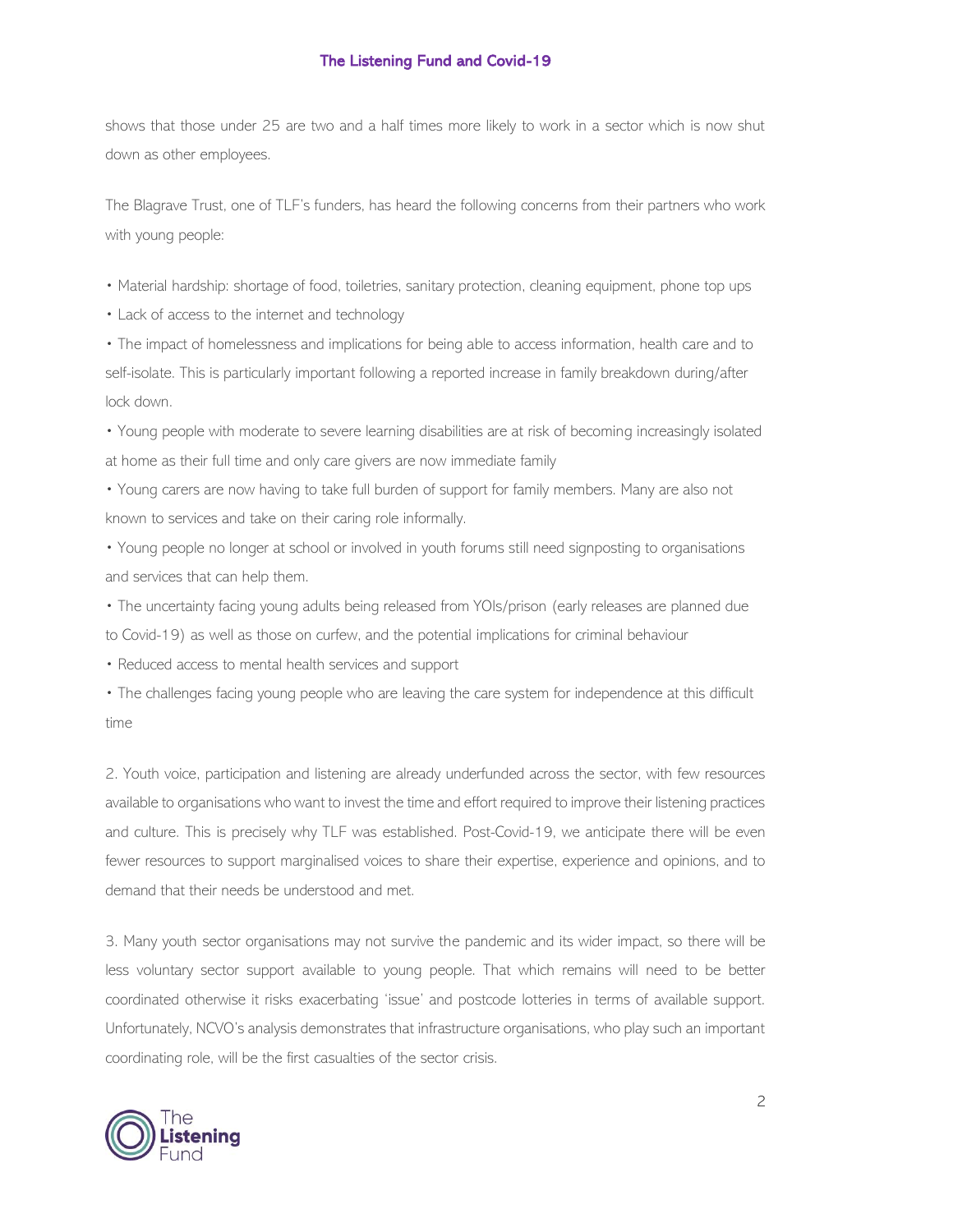shows that those under 25 are two and a half times more likely to work in a sector which is now shut down as other employees.

The Blagrave Trust, one of TLF's funders, has heard the following concerns from their partners who work with young people:

• Material hardship: shortage of food, toiletries, sanitary protection, cleaning equipment, phone top ups

• Lack of access to the internet and technology

• The impact of homelessness and implications for being able to access information, health care and to self-isolate. This is particularly important following a reported increase in family breakdown during/after lock down.

• Young people with moderate to severe learning disabilities are at risk of becoming increasingly isolated at home as their full time and only care givers are now immediate family

• Young carers are now having to take full burden of support for family members. Many are also not known to services and take on their caring role informally.

• Young people no longer at school or involved in youth forums still need signposting to organisations and services that can help them.

• The uncertainty facing young adults being released from YOIs/prison (early releases are planned due to Covid-19) as well as those on curfew, and the potential implications for criminal behaviour

• Reduced access to mental health services and support

• The challenges facing young people who are leaving the care system for independence at this difficult time

2. Youth voice, participation and listening are already underfunded across the sector, with few resources available to organisations who want to invest the time and effort required to improve their listening practices and culture. This is precisely why TLF was established. Post-Covid-19, we anticipate there will be even fewer resources to support marginalised voices to share their expertise, experience and opinions, and to demand that their needs be understood and met.

3. Many youth sector organisations may not survive the pandemic and its wider impact, so there will be less voluntary sector support available to young people. That which remains will need to be better coordinated otherwise it risks exacerbating 'issue' and postcode lotteries in terms of available support. Unfortunately, NCVO's analysis demonstrates that infrastructure organisations, who play such an important coordinating role, will be the first casualties of the sector crisis.



2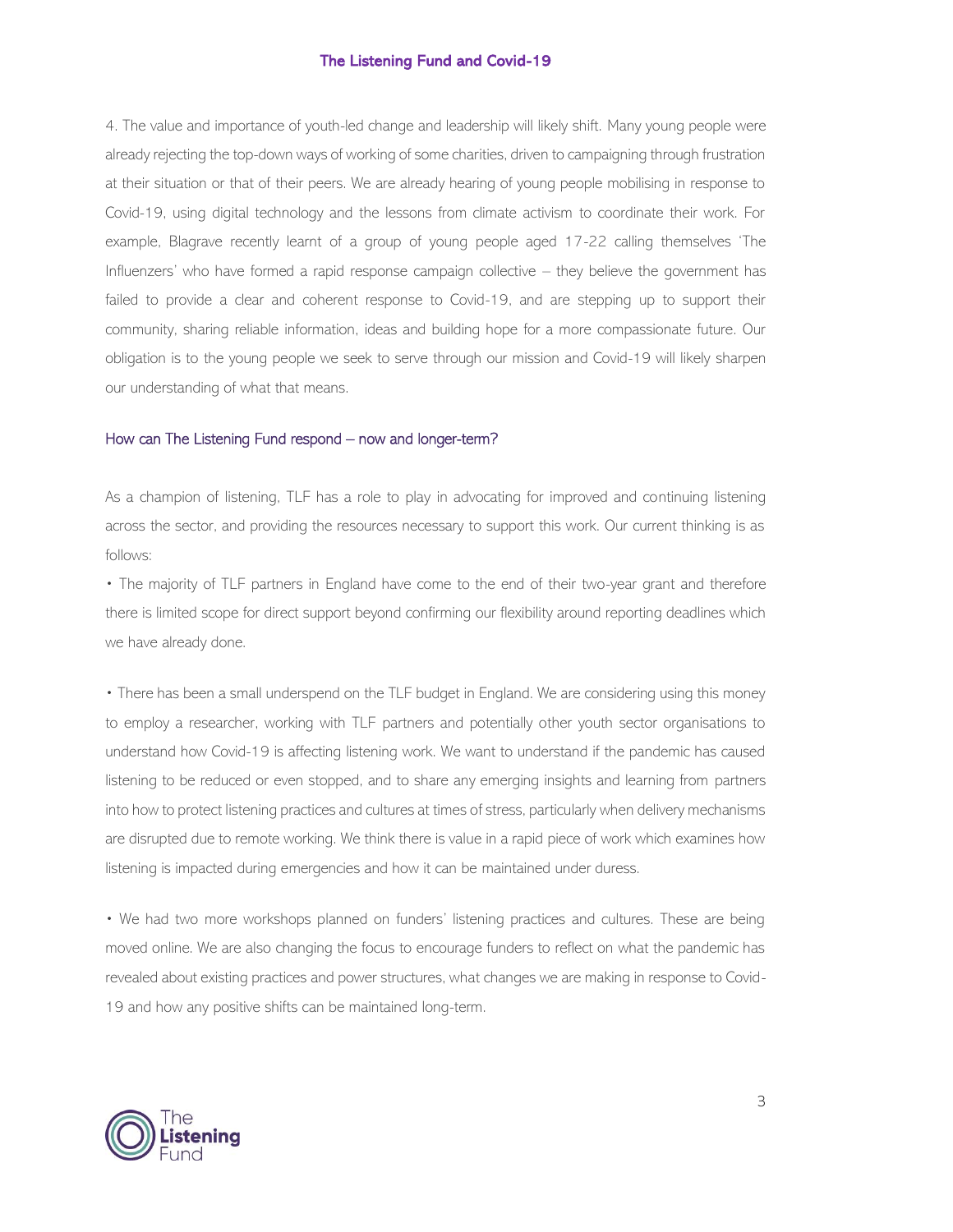4. The value and importance of youth-led change and leadership will likely shift. Many young people were already rejecting the top-down ways of working of some charities, driven to campaigning through frustration at their situation or that of their peers. We are already hearing of young people mobilising in response to Covid-19, using digital technology and the lessons from climate activism to coordinate their work. For example, Blagrave recently learnt of a group of young people aged 17-22 calling themselves 'The Influenzers' who have formed a rapid response campaign collective – they believe the government has failed to provide a clear and coherent response to Covid-19, and are stepping up to support their community, sharing reliable information, ideas and building hope for a more compassionate future. Our obligation is to the young people we seek to serve through our mission and Covid-19 will likely sharpen our understanding of what that means.

### How can The Listening Fund respond – now and longer-term?

As a champion of listening, TLF has a role to play in advocating for improved and continuing listening across the sector, and providing the resources necessary to support this work. Our current thinking is as follows:

• The majority of TLF partners in England have come to the end of their two-year grant and therefore there is limited scope for direct support beyond confirming our flexibility around reporting deadlines which we have already done.

• There has been a small underspend on the TLF budget in England. We are considering using this money to employ a researcher, working with TLF partners and potentially other youth sector organisations to understand how Covid-19 is affecting listening work. We want to understand if the pandemic has caused listening to be reduced or even stopped, and to share any emerging insights and learning from partners into how to protect listening practices and cultures at times of stress, particularly when delivery mechanisms are disrupted due to remote working. We think there is value in a rapid piece of work which examines how listening is impacted during emergencies and how it can be maintained under duress.

• We had two more workshops planned on funders' listening practices and cultures. These are being moved online. We are also changing the focus to encourage funders to reflect on what the pandemic has revealed about existing practices and power structures, what changes we are making in response to Covid-19 and how any positive shifts can be maintained long-term.